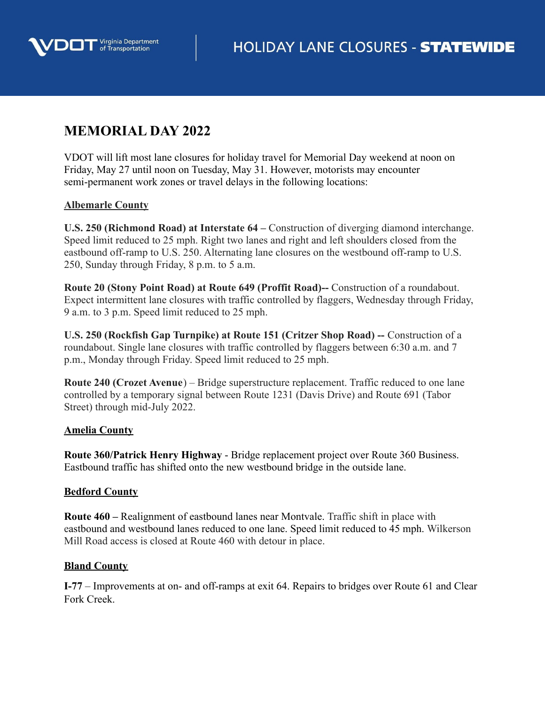

# **MEMORIAL DAY 2022**

VDOT will lift most lane closures for holiday travel for Memorial Day weekend at noon on Friday, May 27 until noon on Tuesday, May 31. However, motorists may encounter semi-permanent work zones or travel delays in the following locations:

# **Albemarle County**

**U.S. 250 (Richmond Road) at Interstate 64 –** Construction of diverging diamond interchange. Speed limit reduced to 25 mph. Right two lanes and right and left shoulders closed from the eastbound off-ramp to U.S. 250. Alternating lane closures on the westbound off-ramp to U.S. 250, Sunday through Friday, 8 p.m. to 5 a.m.

**Route 20 (Stony Point Road) at Route 649 (Proffit Road)--** Construction of a roundabout. Expect intermittent lane closures with traffic controlled by flaggers, Wednesday through Friday, 9 a.m. to 3 p.m. Speed limit reduced to 25 mph.

**U.S. 250 (Rockfish Gap Turnpike) at Route 151 (Critzer Shop Road) --** Construction of a roundabout. Single lane closures with traffic controlled by flaggers between 6:30 a.m. and 7 p.m., Monday through Friday. Speed limit reduced to 25 mph.

**Route 240 (Crozet Avenue**) – Bridge superstructure replacement. Traffic reduced to one lane controlled by a temporary signal between Route 1231 (Davis Drive) and Route 691 (Tabor Street) through mid-July 2022.

# **Amelia County**

**Route 360/Patrick Henry Highway** - Bridge replacement project over Route 360 Business. Eastbound traffic has shifted onto the new westbound bridge in the outside lane.

# **Bedford County**

**Route 460 –** Realignment of eastbound lanes near Montvale. Traffic shift in place with eastbound and westbound lanes reduced to one lane. Speed limit reduced to 45 mph. Wilkerson Mill Road access is closed at Route 460 with detour in place.

# **Bland County**

**I-77** – Improvements at on- and off-ramps at exit 64. Repairs to bridges over Route 61 and Clear Fork Creek.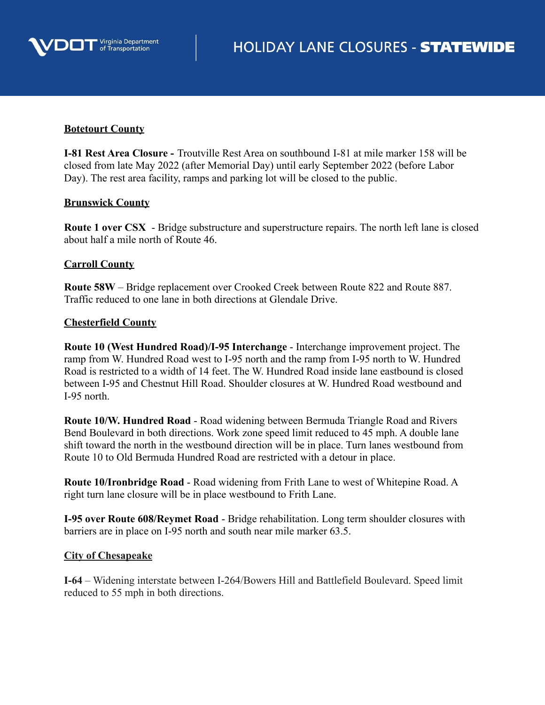

### **Botetourt County**

**I-81 Rest Area Closure -** Troutville Rest Area on southbound I-81 at mile marker 158 will be closed from late May 2022 (after Memorial Day) until early September 2022 (before Labor Day). The rest area facility, ramps and parking lot will be closed to the public.

## **Brunswick County**

**Route 1 over CSX** - Bridge substructure and superstructure repairs. The north left lane is closed about half a mile north of Route 46.

## **Carroll County**

**Route 58W** – Bridge replacement over Crooked Creek between Route 822 and Route 887. Traffic reduced to one lane in both directions at Glendale Drive.

## **Chesterfield County**

**Route 10 (West Hundred Road)/I-95 Interchange** - Interchange improvement project. The ramp from W. Hundred Road west to I-95 north and the ramp from I-95 north to W. Hundred Road is restricted to a width of 14 feet. The W. Hundred Road inside lane eastbound is closed between I-95 and Chestnut Hill Road. Shoulder closures at W. Hundred Road westbound and I-95 north.

**Route 10/W. Hundred Road** - Road widening between Bermuda Triangle Road and Rivers Bend Boulevard in both directions. Work zone speed limit reduced to 45 mph. A double lane shift toward the north in the westbound direction will be in place. Turn lanes westbound from Route 10 to Old Bermuda Hundred Road are restricted with a detour in place.

**Route 10/Ironbridge Road** - Road widening from Frith Lane to west of Whitepine Road. A right turn lane closure will be in place westbound to Frith Lane.

**I-95 over Route 608/Reymet Road** - Bridge rehabilitation. Long term shoulder closures with barriers are in place on I-95 north and south near mile marker 63.5.

#### **City of Chesapeake**

**I-64** – Widening interstate between I-264/Bowers Hill and Battlefield Boulevard. Speed limit reduced to 55 mph in both directions.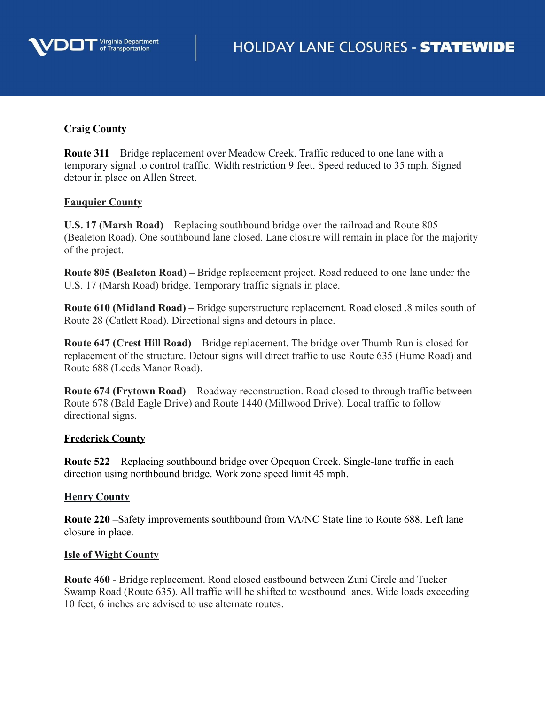

# **Craig County**

**Route 311** – Bridge replacement over Meadow Creek. Traffic reduced to one lane with a temporary signal to control traffic. Width restriction 9 feet. Speed reduced to 35 mph. Signed detour in place on Allen Street.

## **Fauquier County**

**U.S. 17 (Marsh Road)** – Replacing southbound bridge over the railroad and Route 805 (Bealeton Road). One southbound lane closed. Lane closure will remain in place for the majority of the project.

**Route 805 (Bealeton Road)** – Bridge replacement project. Road reduced to one lane under the U.S. 17 (Marsh Road) bridge. Temporary traffic signals in place.

**Route 610 (Midland Road)** – Bridge superstructure replacement. Road closed .8 miles south of Route 28 (Catlett Road). Directional signs and detours in place.

**Route 647 (Crest Hill Road)** – Bridge replacement. The bridge over Thumb Run is closed for replacement of the structure. Detour signs will direct traffic to use Route 635 (Hume Road) and Route 688 (Leeds Manor Road).

**Route 674 (Frytown Road)** – Roadway reconstruction. Road closed to through traffic between Route 678 (Bald Eagle Drive) and Route 1440 (Millwood Drive). Local traffic to follow directional signs.

#### **Frederick County**

**Route 522** – Replacing southbound bridge over Opequon Creek. Single-lane traffic in each direction using northbound bridge. Work zone speed limit 45 mph.

# **Henry County**

**Route 220 –**Safety improvements southbound from VA/NC State line to Route 688. Left lane closure in place.

#### **Isle of Wight County**

**Route 460** - Bridge replacement. Road closed eastbound between Zuni Circle and Tucker Swamp Road (Route 635). All traffic will be shifted to westbound lanes. Wide loads exceeding 10 feet, 6 inches are advised to use alternate routes.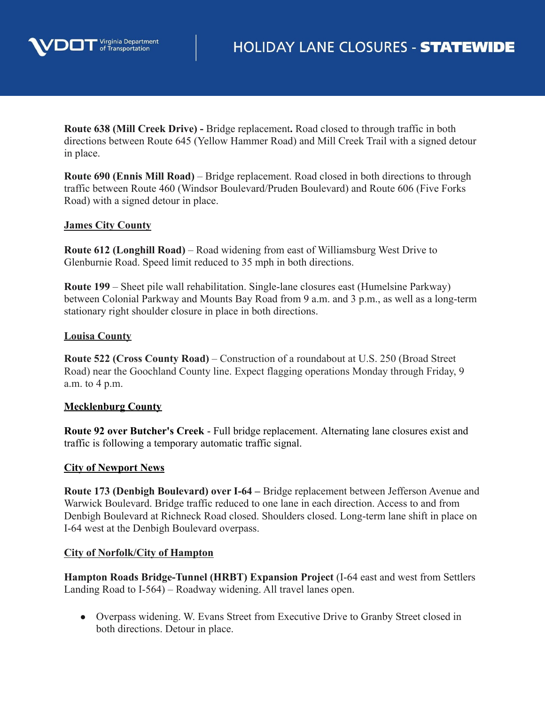

**Route 638 (Mill Creek Drive) -** Bridge replacement**.** Road closed to through traffic in both directions between Route 645 (Yellow Hammer Road) and Mill Creek Trail with a signed detour in place.

**Route 690 (Ennis Mill Road)** – Bridge replacement. Road closed in both directions to through traffic between Route 460 (Windsor Boulevard/Pruden Boulevard) and Route 606 (Five Forks Road) with a signed detour in place.

## **James City County**

**Route 612 (Longhill Road)** – Road widening from east of Williamsburg West Drive to Glenburnie Road. Speed limit reduced to 35 mph in both directions.

**Route 199** – Sheet pile wall rehabilitation. Single-lane closures east (Humelsine Parkway) between Colonial Parkway and Mounts Bay Road from 9 a.m. and 3 p.m., as well as a long-term stationary right shoulder closure in place in both directions.

## **Louisa County**

**Route 522 (Cross County Road)** – Construction of a roundabout at U.S. 250 (Broad Street Road) near the Goochland County line. Expect flagging operations Monday through Friday, 9 a.m. to 4 p.m.

# **Mecklenburg County**

**Route 92 over Butcher's Creek** - Full bridge replacement. Alternating lane closures exist and traffic is following a temporary automatic traffic signal.

#### **City of Newport News**

**Route 173 (Denbigh Boulevard) over I-64 –** Bridge replacement between Jefferson Avenue and Warwick Boulevard. Bridge traffic reduced to one lane in each direction. Access to and from Denbigh Boulevard at Richneck Road closed. Shoulders closed. Long-term lane shift in place on I-64 west at the Denbigh Boulevard overpass.

#### **City of Norfolk/City of Hampton**

**Hampton Roads Bridge-Tunnel (HRBT) Expansion Project** (I-64 east and west from Settlers Landing Road to I-564) – Roadway widening. All travel lanes open.

● Overpass widening. W. Evans Street from Executive Drive to Granby Street closed in both directions. Detour in place.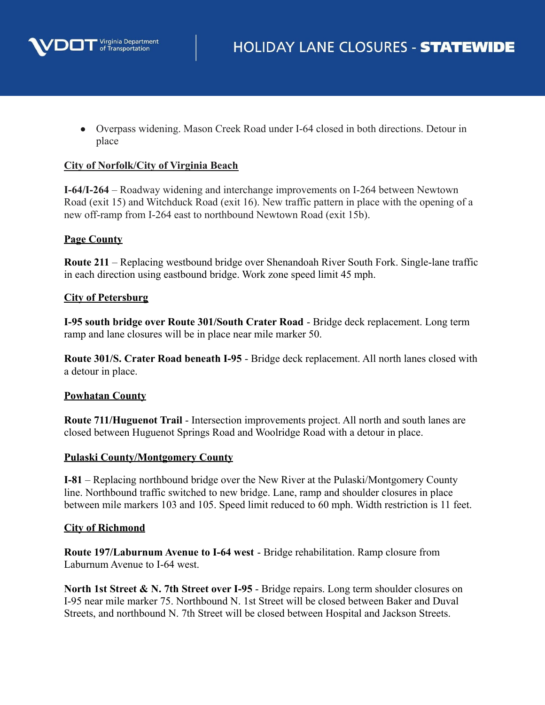

• Overpass widening. Mason Creek Road under I-64 closed in both directions. Detour in place

# **City of Norfolk/City of Virginia Beach**

**I-64/I-264** – Roadway widening and interchange improvements on I-264 between Newtown Road (exit 15) and Witchduck Road (exit 16). New traffic pattern in place with the opening of a new off-ramp from I-264 east to northbound Newtown Road (exit 15b).

# **Page County**

**Route 211** – Replacing westbound bridge over Shenandoah River South Fork. Single-lane traffic in each direction using eastbound bridge. Work zone speed limit 45 mph.

# **City of Petersburg**

**I-95 south bridge over Route 301/South Crater Road** - Bridge deck replacement. Long term ramp and lane closures will be in place near mile marker 50.

**Route 301/S. Crater Road beneath I-95** - Bridge deck replacement. All north lanes closed with a detour in place.

# **Powhatan County**

**Route 711/Huguenot Trail** - Intersection improvements project. All north and south lanes are closed between Huguenot Springs Road and Woolridge Road with a detour in place.

#### **Pulaski County/Montgomery County**

**I-81** – Replacing northbound bridge over the New River at the Pulaski/Montgomery County line. Northbound traffic switched to new bridge. Lane, ramp and shoulder closures in place between mile markers 103 and 105. Speed limit reduced to 60 mph. Width restriction is 11 feet.

#### **City of Richmond**

**Route 197/Laburnum Avenue to I-64 west** - Bridge rehabilitation. Ramp closure from Laburnum Avenue to I-64 west.

**North 1st Street & N. 7th Street over I-95** - Bridge repairs. Long term shoulder closures on I-95 near mile marker 75. Northbound N. 1st Street will be closed between Baker and Duval Streets, and northbound N. 7th Street will be closed between Hospital and Jackson Streets.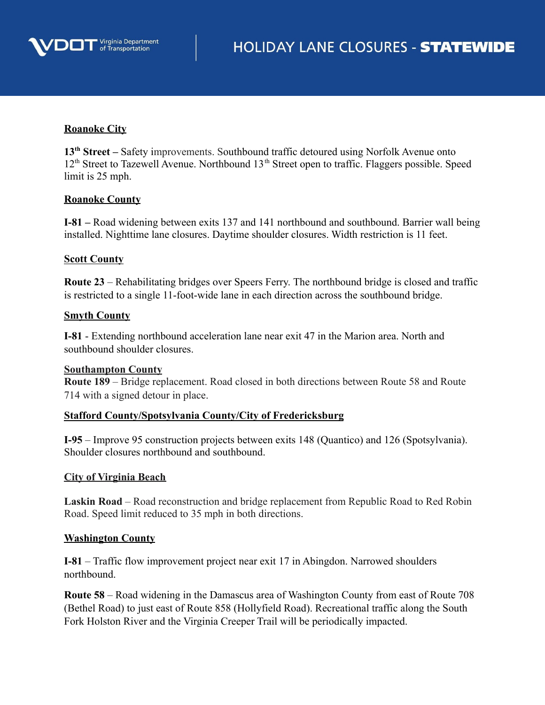

# **Roanoke City**

13<sup>th</sup> Street – Safety improvements. Southbound traffic detoured using Norfolk Avenue onto 12<sup>th</sup> Street to Tazewell Avenue. Northbound 13<sup>th</sup> Street open to traffic. Flaggers possible. Speed limit is 25 mph.

#### **Roanoke County**

**I-81 –** Road widening between exits 137 and 141 northbound and southbound. Barrier wall being installed. Nighttime lane closures. Daytime shoulder closures. Width restriction is 11 feet.

## **Scott County**

**Route 23** – Rehabilitating bridges over Speers Ferry. The northbound bridge is closed and traffic is restricted to a single 11-foot-wide lane in each direction across the southbound bridge.

## **Smyth County**

**I-81** - Extending northbound acceleration lane near exit 47 in the Marion area. North and southbound shoulder closures.

#### **Southampton County**

**Route 189** – Bridge replacement. Road closed in both directions between Route 58 and Route 714 with a signed detour in place.

#### **Stafford County/Spotsylvania County/City of Fredericksburg**

**I-95** – Improve 95 construction projects between exits 148 (Quantico) and 126 (Spotsylvania). Shoulder closures northbound and southbound.

#### **City of Virginia Beach**

**Laskin Road** – Road reconstruction and bridge replacement from Republic Road to Red Robin Road. Speed limit reduced to 35 mph in both directions.

#### **Washington County**

**I-81** – Traffic flow improvement project near exit 17 in Abingdon. Narrowed shoulders northbound.

**Route 58** – Road widening in the Damascus area of Washington County from east of Route 708 (Bethel Road) to just east of Route 858 (Hollyfield Road). Recreational traffic along the South Fork Holston River and the Virginia Creeper Trail will be periodically impacted.